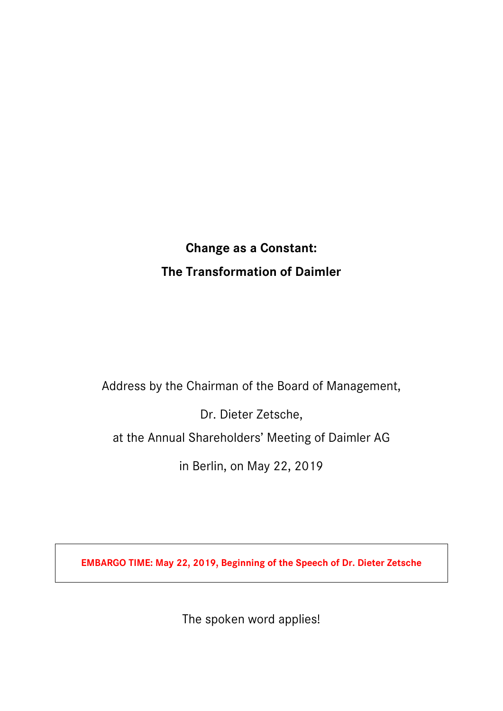# **Change as a Constant: The Transformation of Daimler**

Address by the Chairman of the Board of Management,

Dr. Dieter Zetsche,

at the Annual Shareholders' Meeting of Daimler AG

in Berlin, on May 22, 2019

**EMBARGO TIME: May 22, 2019, Beginning of the Speech of Dr. Dieter Zetsche**

The spoken word applies!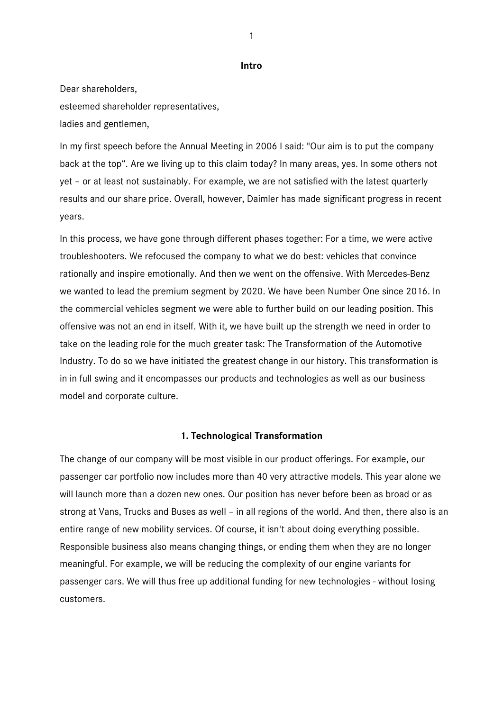**Intro**

Dear shareholders, esteemed shareholder representatives, ladies and gentlemen,

In my first speech before the Annual Meeting in 2006 I said: "Our aim is to put the company back at the top". Are we living up to this claim today? In many areas, yes. In some others not yet – or at least not sustainably. For example, we are not satisfied with the latest quarterly results and our share price. Overall, however, Daimler has made significant progress in recent years.

In this process, we have gone through different phases together: For a time, we were active troubleshooters. We refocused the company to what we do best: vehicles that convince rationally and inspire emotionally. And then we went on the offensive. With Mercedes-Benz we wanted to lead the premium segment by 2020. We have been Number One since 2016. In the commercial vehicles segment we were able to further build on our leading position. This offensive was not an end in itself. With it, we have built up the strength we need in order to take on the leading role for the much greater task: The Transformation of the Automotive Industry. To do so we have initiated the greatest change in our history. This transformation is in in full swing and it encompasses our products and technologies as well as our business model and corporate culture.

# **1. Technological Transformation**

The change of our company will be most visible in our product offerings. For example, our passenger car portfolio now includes more than 40 very attractive models. This year alone we will launch more than a dozen new ones. Our position has never before been as broad or as strong at Vans, Trucks and Buses as well – in all regions of the world. And then, there also is an entire range of new mobility services. Of course, it isn't about doing everything possible. Responsible business also means changing things, or ending them when they are no longer meaningful. For example, we will be reducing the complexity of our engine variants for passenger cars. We will thus free up additional funding for new technologies - without losing customers.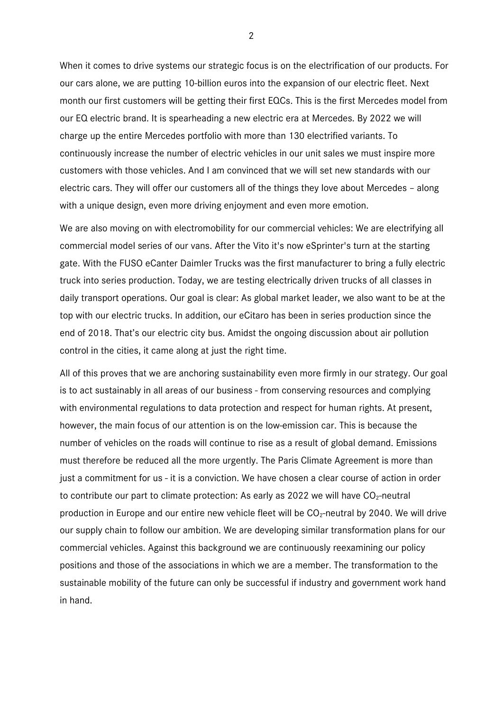When it comes to drive systems our strategic focus is on the electrification of our products. For our cars alone, we are putting 10-billion euros into the expansion of our electric fleet. Next month our first customers will be getting their first EQCs. This is the first Mercedes model from our EQ electric brand. It is spearheading a new electric era at Mercedes. By 2022 we will charge up the entire Mercedes portfolio with more than 130 electrified variants. To continuously increase the number of electric vehicles in our unit sales we must inspire more customers with those vehicles. And I am convinced that we will set new standards with our electric cars. They will offer our customers all of the things they love about Mercedes – along with a unique design, even more driving enjoyment and even more emotion.

We are also moving on with electromobility for our commercial vehicles: We are electrifying all commercial model series of our vans. After the Vito it's now eSprinter's turn at the starting gate. With the FUSO eCanter Daimler Trucks was the first manufacturer to bring a fully electric truck into series production. Today, we are testing electrically driven trucks of all classes in daily transport operations. Our goal is clear: As global market leader, we also want to be at the top with our electric trucks. In addition, our eCitaro has been in series production since the end of 2018. That's our electric city bus. Amidst the ongoing discussion about air pollution control in the cities, it came along at just the right time.

All of this proves that we are anchoring sustainability even more firmly in our strategy. Our goal is to act sustainably in all areas of our business - from conserving resources and complying with environmental regulations to data protection and respect for human rights. At present, however, the main focus of our attention is on the low-emission car. This is because the number of vehicles on the roads will continue to rise as a result of global demand. Emissions must therefore be reduced all the more urgently. The Paris Climate Agreement is more than just a commitment for us - it is a conviction. We have chosen a clear course of action in order to contribute our part to climate protection: As early as 2022 we will have  $CO<sub>2</sub>$ -neutral production in Europe and our entire new vehicle fleet will be  $CO<sub>2</sub>$ -neutral by 2040. We will drive our supply chain to follow our ambition. We are developing similar transformation plans for our commercial vehicles. Against this background we are continuously reexamining our policy positions and those of the associations in which we are a member. The transformation to the sustainable mobility of the future can only be successful if industry and government work hand in hand.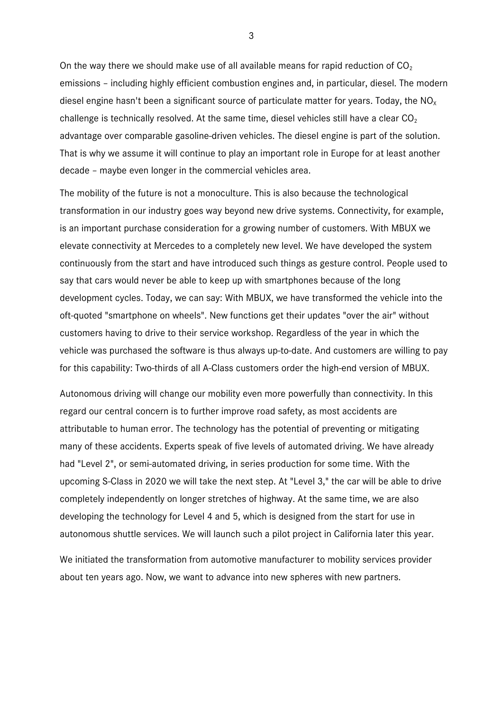On the way there we should make use of all available means for rapid reduction of  $CO<sub>2</sub>$ emissions – including highly efficient combustion engines and, in particular, diesel. The modern diesel engine hasn't been a significant source of particulate matter for years. Today, the  $NO<sub>x</sub>$ challenge is technically resolved. At the same time, diesel vehicles still have a clear  $CO<sub>2</sub>$ advantage over comparable gasoline-driven vehicles. The diesel engine is part of the solution. That is why we assume it will continue to play an important role in Europe for at least another decade – maybe even longer in the commercial vehicles area.

The mobility of the future is not a monoculture. This is also because the technological transformation in our industry goes way beyond new drive systems. Connectivity, for example, is an important purchase consideration for a growing number of customers. With MBUX we elevate connectivity at Mercedes to a completely new level. We have developed the system continuously from the start and have introduced such things as gesture control. People used to say that cars would never be able to keep up with smartphones because of the long development cycles. Today, we can say: With MBUX, we have transformed the vehicle into the oft-quoted "smartphone on wheels". New functions get their updates "over the air" without customers having to drive to their service workshop. Regardless of the year in which the vehicle was purchased the software is thus always up-to-date. And customers are willing to pay for this capability: Two-thirds of all A-Class customers order the high-end version of MBUX.

Autonomous driving will change our mobility even more powerfully than connectivity. In this regard our central concern is to further improve road safety, as most accidents are attributable to human error. The technology has the potential of preventing or mitigating many of these accidents. Experts speak of five levels of automated driving. We have already had "Level 2", or semi-automated driving, in series production for some time. With the upcoming S-Class in 2020 we will take the next step. At "Level 3," the car will be able to drive completely independently on longer stretches of highway. At the same time, we are also developing the technology for Level 4 and 5, which is designed from the start for use in autonomous shuttle services. We will launch such a pilot project in California later this year.

We initiated the transformation from automotive manufacturer to mobility services provider about ten years ago. Now, we want to advance into new spheres with new partners.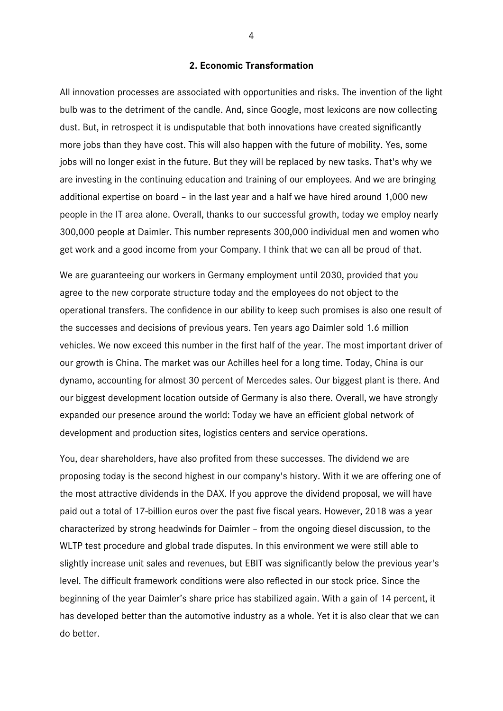### **2. Economic Transformation**

All innovation processes are associated with opportunities and risks. The invention of the light bulb was to the detriment of the candle. And, since Google, most lexicons are now collecting dust. But, in retrospect it is undisputable that both innovations have created significantly more jobs than they have cost. This will also happen with the future of mobility. Yes, some jobs will no longer exist in the future. But they will be replaced by new tasks. That's why we are investing in the continuing education and training of our employees. And we are bringing additional expertise on board – in the last year and a half we have hired around 1,000 new people in the IT area alone. Overall, thanks to our successful growth, today we employ nearly 300,000 people at Daimler. This number represents 300,000 individual men and women who get work and a good income from your Company. I think that we can all be proud of that.

We are guaranteeing our workers in Germany employment until 2030, provided that you agree to the new corporate structure today and the employees do not object to the operational transfers. The confidence in our ability to keep such promises is also one result of the successes and decisions of previous years. Ten years ago Daimler sold 1.6 million vehicles. We now exceed this number in the first half of the year. The most important driver of our growth is China. The market was our Achilles heel for a long time. Today, China is our dynamo, accounting for almost 30 percent of Mercedes sales. Our biggest plant is there. And our biggest development location outside of Germany is also there. Overall, we have strongly expanded our presence around the world: Today we have an efficient global network of development and production sites, logistics centers and service operations.

You, dear shareholders, have also profited from these successes. The dividend we are proposing today is the second highest in our company's history. With it we are offering one of the most attractive dividends in the DAX. If you approve the dividend proposal, we will have paid out a total of 17-billion euros over the past five fiscal years. However, 2018 was a year characterized by strong headwinds for Daimler – from the ongoing diesel discussion, to the WLTP test procedure and global trade disputes. In this environment we were still able to slightly increase unit sales and revenues, but EBIT was significantly below the previous year's level. The difficult framework conditions were also reflected in our stock price. Since the beginning of the year Daimler's share price has stabilized again. With a gain of 14 percent, it has developed better than the automotive industry as a whole. Yet it is also clear that we can do better.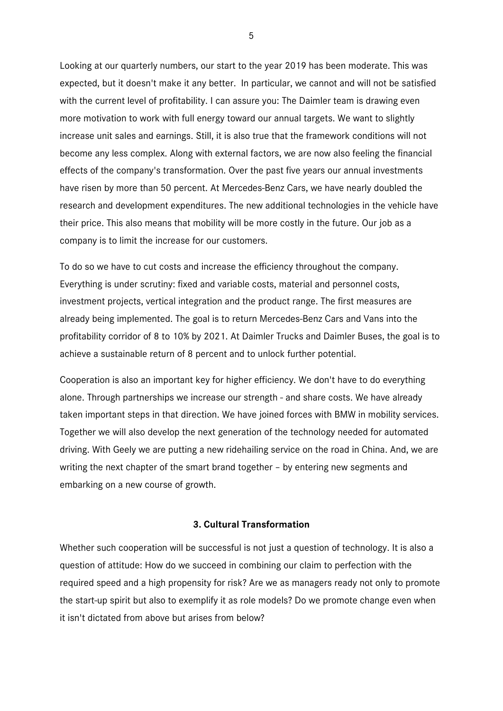Looking at our quarterly numbers, our start to the year 2019 has been moderate. This was expected, but it doesn't make it any better. In particular, we cannot and will not be satisfied with the current level of profitability. I can assure you: The Daimler team is drawing even more motivation to work with full energy toward our annual targets. We want to slightly increase unit sales and earnings. Still, it is also true that the framework conditions will not become any less complex. Along with external factors, we are now also feeling the financial effects of the company's transformation. Over the past five years our annual investments have risen by more than 50 percent. At Mercedes-Benz Cars, we have nearly doubled the research and development expenditures. The new additional technologies in the vehicle have their price. This also means that mobility will be more costly in the future. Our job as a company is to limit the increase for our customers.

To do so we have to cut costs and increase the efficiency throughout the company. Everything is under scrutiny: fixed and variable costs, material and personnel costs, investment projects, vertical integration and the product range. The first measures are already being implemented. The goal is to return Mercedes-Benz Cars and Vans into the profitability corridor of 8 to 10% by 2021. At Daimler Trucks and Daimler Buses, the goal is to achieve a sustainable return of 8 percent and to unlock further potential.

Cooperation is also an important key for higher efficiency. We don't have to do everything alone. Through partnerships we increase our strength - and share costs. We have already taken important steps in that direction. We have joined forces with BMW in mobility services. Together we will also develop the next generation of the technology needed for automated driving. With Geely we are putting a new ridehailing service on the road in China. And, we are writing the next chapter of the smart brand together – by entering new segments and embarking on a new course of growth.

# **3. Cultural Transformation**

Whether such cooperation will be successful is not just a question of technology. It is also a question of attitude: How do we succeed in combining our claim to perfection with the required speed and a high propensity for risk? Are we as managers ready not only to promote the start-up spirit but also to exemplify it as role models? Do we promote change even when it isn't dictated from above but arises from below?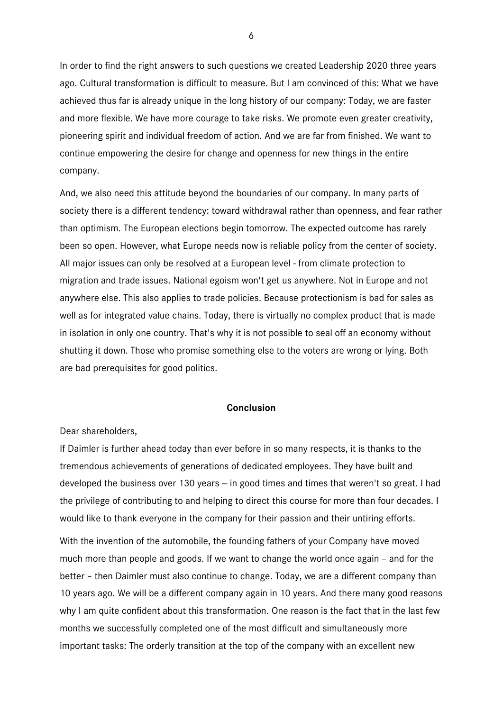In order to find the right answers to such questions we created Leadership 2020 three years ago. Cultural transformation is difficult to measure. But I am convinced of this: What we have achieved thus far is already unique in the long history of our company: Today, we are faster and more flexible. We have more courage to take risks. We promote even greater creativity, pioneering spirit and individual freedom of action. And we are far from finished. We want to continue empowering the desire for change and openness for new things in the entire company.

And, we also need this attitude beyond the boundaries of our company. In many parts of society there is a different tendency: toward withdrawal rather than openness, and fear rather than optimism. The European elections begin tomorrow. The expected outcome has rarely been so open. However, what Europe needs now is reliable policy from the center of society. All major issues can only be resolved at a European level - from climate protection to migration and trade issues. National egoism won't get us anywhere. Not in Europe and not anywhere else. This also applies to trade policies. Because protectionism is bad for sales as well as for integrated value chains. Today, there is virtually no complex product that is made in isolation in only one country. That's why it is not possible to seal off an economy without shutting it down. Those who promise something else to the voters are wrong or lying. Both are bad prerequisites for good politics.

#### **Conclusion**

Dear shareholders,

If Daimler is further ahead today than ever before in so many respects, it is thanks to the tremendous achievements of generations of dedicated employees. They have built and developed the business over 130 years  $-$  in good times and times that weren't so great. I had the privilege of contributing to and helping to direct this course for more than four decades. I would like to thank everyone in the company for their passion and their untiring efforts.

With the invention of the automobile, the founding fathers of your Company have moved much more than people and goods. If we want to change the world once again – and for the better – then Daimler must also continue to change. Today, we are a different company than 10 years ago. We will be a different company again in 10 years. And there many good reasons why I am quite confident about this transformation. One reason is the fact that in the last few months we successfully completed one of the most difficult and simultaneously more important tasks: The orderly transition at the top of the company with an excellent new